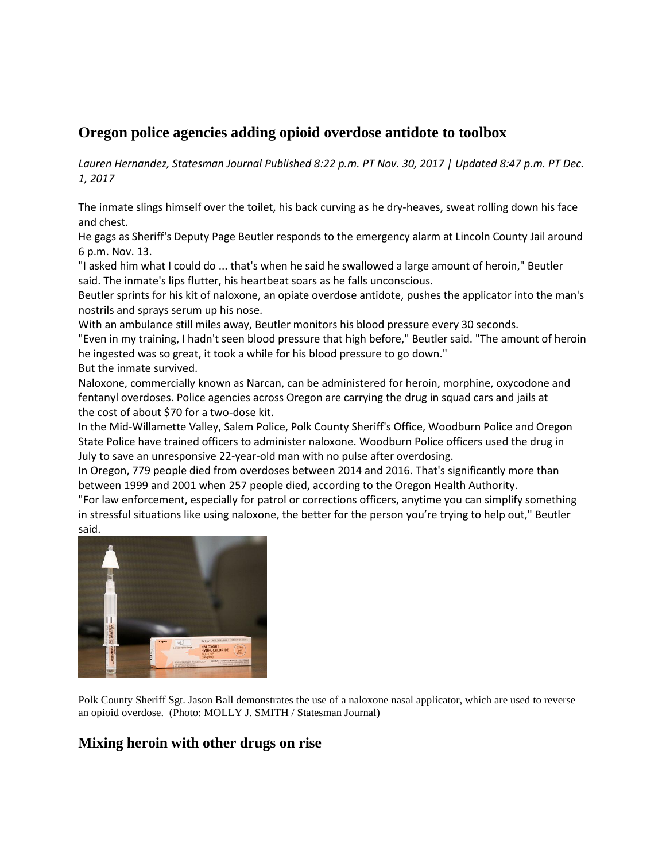## **Oregon police agencies adding opioid overdose antidote to toolbox**

*[Lauren Hernandez,](http://www.statesmanjournal.com/staff/10052938/lauren-hernandez/) Statesman Journal Published 8:22 p.m. PT Nov. 30, 2017 | Updated 8:47 p.m. PT Dec. 1, 2017*

The inmate slings himself over the toilet, his back curving as he dry-heaves, sweat rolling down his face and chest.

He gags as Sheriff's Deputy Page Beutler responds to the emergency alarm at Lincoln County Jail around 6 p.m. Nov. 13.

"I asked him what I could do ... that's when he said he swallowed a large amount of heroin," Beutler said. The inmate's lips flutter, his heartbeat soars as he falls unconscious.

Beutler sprints for his kit of naloxone, an opiate overdose antidote, pushes the applicator into the man's nostrils and sprays serum up his nose.

With an ambulance still miles away, Beutler monitors his blood pressure every 30 seconds.

"Even in my training, I hadn't seen blood pressure that high before," Beutler said. "The amount of heroin he ingested was so great, it took a while for his blood pressure to go down."

But the inmate survived.

Naloxone, commercially known as Narcan, can be administered for heroin, morphine, oxycodone and fentanyl overdoses. Police agencies across Oregon are carrying the drug in squad cars and jails at the cost of about \$70 for a two-dose kit.

In the Mid-Willamette Valley, Salem Police, Polk County Sheriff's Office, Woodburn Police and Oregon State Police have trained officers to administer naloxone. Woodburn Police officers used the drug in July to save an unresponsive 22-year-old man with no pulse after overdosing.

In Oregon, 779 people died from overdoses between 2014 and 2016. That's significantly more than between 1999 and 2001 when 257 people died, according to the Oregon Health Authority.

"For law enforcement, especially for patrol or corrections officers, anytime you can simplify something in stressful situations like using naloxone, the better for the person you're trying to help out," Beutler said.



Polk County Sheriff Sgt. Jason Ball demonstrates the use of a naloxone nasal applicator, which are used to reverse an opioid overdose. (Photo: MOLLY J. SMITH / Statesman Journal)

#### **Mixing heroin with other drugs on rise**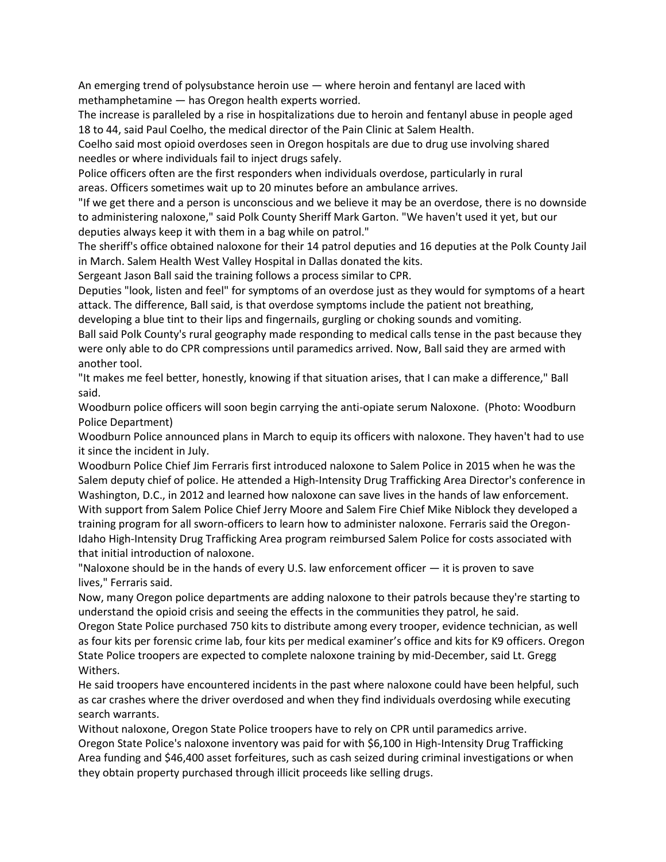An emerging trend of polysubstance heroin use  $-$  where heroin and fentanyl are laced with methamphetamine — has Oregon health experts worried.

The increase is paralleled by a rise in hospitalizations due to heroin and fentanyl abuse in people aged 18 to 44, said Paul Coelho, the medical director of the Pain Clinic at Salem Health.

Coelho said most opioid overdoses seen in Oregon hospitals are due to drug use involving shared needles or where individuals fail to inject drugs safely.

Police officers often are the first responders when individuals overdose, particularly in rural areas. Officers sometimes wait up to 20 minutes before an ambulance arrives.

"If we get there and a person is unconscious and we believe it may be an overdose, there is no downside to administering naloxone," said Polk County Sheriff Mark Garton. "We haven't used it yet, but our deputies always keep it with them in a bag while on patrol."

The sheriff's office obtained naloxone for their 14 patrol deputies and 16 deputies at the Polk County Jail in March. Salem Health West Valley Hospital in Dallas donated the kits.

Sergeant Jason Ball said the training follows a process similar to CPR.

Deputies "look, listen and feel" for symptoms of an overdose just as they would for symptoms of a heart attack. The difference, Ball said, is that overdose symptoms include the patient not breathing,

developing a blue tint to their lips and fingernails, gurgling or choking sounds and vomiting. Ball said Polk County's rural geography made responding to medical calls tense in the past because they were only able to do CPR compressions until paramedics arrived. Now, Ball said they are armed with another tool.

"It makes me feel better, honestly, knowing if that situation arises, that I can make a difference," Ball said.

Woodburn police officers will soon begin carrying the anti-opiate serum Naloxone. (Photo: Woodburn Police Department)

Woodburn Police announced plans in March to equip its officers with naloxone. They haven't had to use it since the incident in July.

Woodburn Police Chief Jim Ferraris first introduced naloxone to Salem Police in 2015 when he was the Salem deputy chief of police. He attended a High-Intensity Drug Trafficking Area Director's conference in Washington, D.C., in 2012 and learned how naloxone can save lives in the hands of law enforcement. With support from Salem Police Chief Jerry Moore and Salem Fire Chief Mike Niblock they developed a training program for all sworn-officers to learn how to administer naloxone. Ferraris said the Oregon-Idaho High-Intensity Drug Trafficking Area program reimbursed Salem Police for costs associated with that initial introduction of naloxone.

"Naloxone should be in the hands of every U.S. law enforcement officer — it is proven to save lives," Ferraris said.

Now, many Oregon police departments are adding naloxone to their patrols because they're starting to understand the opioid crisis and seeing the effects in the communities they patrol, he said.

Oregon State Police purchased 750 kits to distribute among every trooper, evidence technician, as well as four kits per forensic crime lab, four kits per medical examiner's office and kits for K9 officers. Oregon State Police troopers are expected to complete naloxone training by mid-December, said Lt. Gregg Withers.

He said troopers have encountered incidents in the past where naloxone could have been helpful, such as car crashes where the driver overdosed and when they find individuals overdosing while executing search warrants.

Without naloxone, Oregon State Police troopers have to rely on CPR until paramedics arrive. Oregon State Police's naloxone inventory was paid for with \$6,100 in High-Intensity Drug Trafficking Area funding and \$46,400 asset forfeitures, such as cash seized during criminal investigations or when they obtain property purchased through illicit proceeds like selling drugs.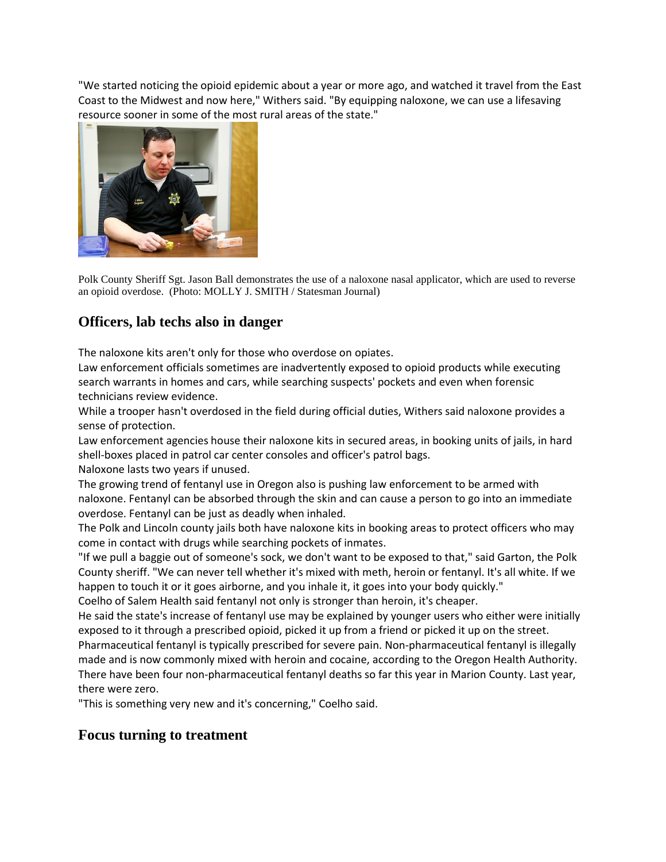"We started noticing the opioid epidemic about a year or more ago, and watched it travel from the East Coast to the Midwest and now here," Withers said. "By equipping naloxone, we can use a lifesaving resource sooner in some of the most rural areas of the state."



Polk County Sheriff Sgt. Jason Ball demonstrates the use of a naloxone nasal applicator, which are used to reverse an opioid overdose. (Photo: MOLLY J. SMITH / Statesman Journal)

# **Officers, lab techs also in danger**

The naloxone kits aren't only for those who overdose on opiates.

Law enforcement officials sometimes are inadvertently exposed to opioid products while executing search warrants in homes and cars, while searching suspects' pockets and even when forensic technicians review evidence.

While a trooper hasn't overdosed in the field during official duties, Withers said naloxone provides a sense of protection.

Law enforcement agencies house their naloxone kits in secured areas, in booking units of jails, in hard shell-boxes placed in patrol car center consoles and officer's patrol bags.

Naloxone lasts two years if unused.

The growing trend of fentanyl use in Oregon also is pushing law enforcement to be armed with naloxone. Fentanyl can be absorbed through the skin and can cause a person to go into an immediate overdose. Fentanyl can be just as deadly when inhaled.

The Polk and Lincoln county jails both have naloxone kits in booking areas to protect officers who may come in contact with drugs while searching pockets of inmates.

"If we pull a baggie out of someone's sock, we don't want to be exposed to that," said Garton, the Polk County sheriff. "We can never tell whether it's mixed with meth, heroin or fentanyl. It's all white. If we happen to touch it or it goes airborne, and you inhale it, it goes into your body quickly."

Coelho of Salem Health said fentanyl not only is stronger than heroin, it's cheaper.

He said the state's increase of fentanyl use may be explained by younger users who either were initially exposed to it through a prescribed opioid, picked it up from a friend or picked it up on the street.

Pharmaceutical fentanyl is typically prescribed for severe pain. Non-pharmaceutical fentanyl is illegally made and is now commonly mixed with heroin and cocaine, according to the Oregon Health Authority. There have been four non-pharmaceutical fentanyl deaths so far this year in Marion County. Last year, there were zero.

"This is something very new and it's concerning," Coelho said.

### **Focus turning to treatment**